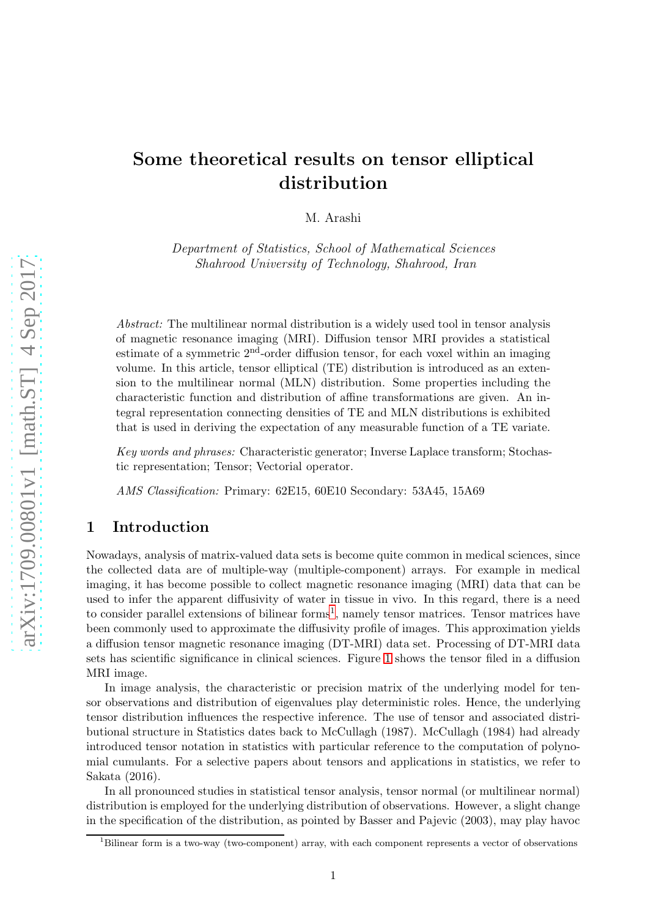# Some theoretical results on tensor elliptical distribution

M. Arashi

Department of Statistics, School of Mathematical Sciences Shahrood University of Technology, Shahrood, Iran

Abstract: The multilinear normal distribution is a widely used tool in tensor analysis of magnetic resonance imaging (MRI). Diffusion tensor MRI provides a statistical estimate of a symmetric 2<sup>nd</sup>-order diffusion tensor, for each voxel within an imaging volume. In this article, tensor elliptical (TE) distribution is introduced as an extension to the multilinear normal (MLN) distribution. Some properties including the characteristic function and distribution of affine transformations are given. An integral representation connecting densities of TE and MLN distributions is exhibited that is used in deriving the expectation of any measurable function of a TE variate.

Key words and phrases: Characteristic generator; Inverse Laplace transform; Stochastic representation; Tensor; Vectorial operator.

AMS Classification: Primary: 62E15, 60E10 Secondary: 53A45, 15A69

# 1 Introduction

Nowadays, analysis of matrix-valued data sets is become quite common in medical sciences, since the collected data are of multiple-way (multiple-component) arrays. For example in medical imaging, it has become possible to collect magnetic resonance imaging (MRI) data that can be used to infer the apparent diffusivity of water in tissue in vivo. In this regard, there is a need to consider parallel extensions of bilinear forms<sup>[1](#page-0-0)</sup>, namely tensor matrices. Tensor matrices have been commonly used to approximate the diffusivity profile of images. This approximation yields a diffusion tensor magnetic resonance imaging (DT-MRI) data set. Processing of DT-MRI data sets has scientific significance in clinical sciences. Figure [1](#page-1-0) shows the tensor filed in a diffusion MRI image.

In image analysis, the characteristic or precision matrix of the underlying model for tensor observations and distribution of eigenvalues play deterministic roles. Hence, the underlying tensor distribution influences the respective inference. The use of tensor and associated distributional structure in Statistics dates back to McCullagh (1987). McCullagh (1984) had already introduced tensor notation in statistics with particular reference to the computation of polynomial cumulants. For a selective papers about tensors and applications in statistics, we refer to Sakata (2016).

In all pronounced studies in statistical tensor analysis, tensor normal (or multilinear normal) distribution is employed for the underlying distribution of observations. However, a slight change in the specification of the distribution, as pointed by Basser and Pajevic (2003), may play havoc

<span id="page-0-0"></span><sup>&</sup>lt;sup>1</sup>Bilinear form is a two-way (two-component) array, with each component represents a vector of observations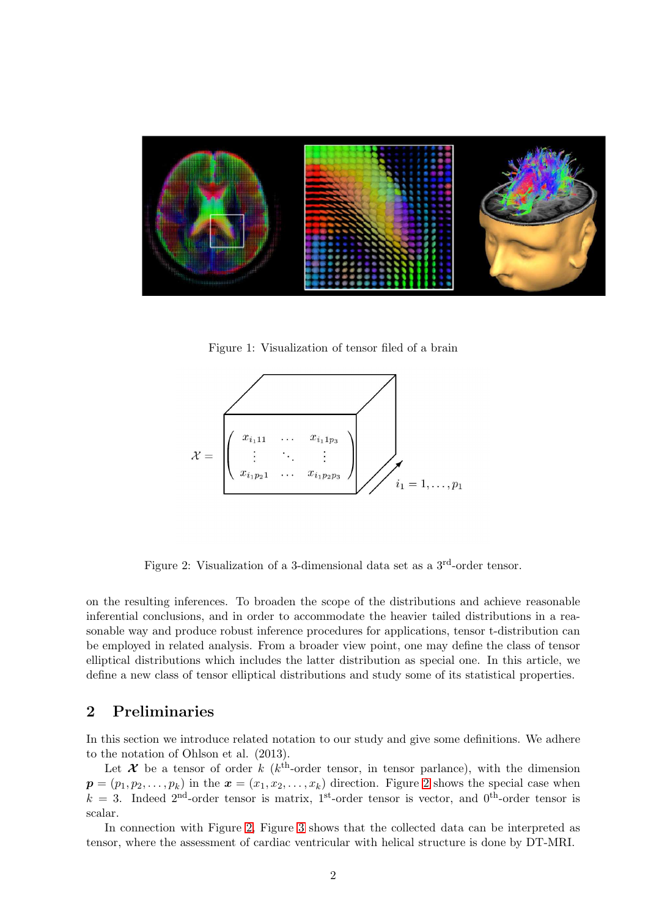

Figure 1: Visualization of tensor filed of a brain

<span id="page-1-0"></span>

<span id="page-1-1"></span>Figure 2: Visualization of a 3-dimensional data set as a 3<sup>rd</sup>-order tensor.

on the resulting inferences. To broaden the scope of the distributions and achieve reasonable inferential conclusions, and in order to accommodate the heavier tailed distributions in a reasonable way and produce robust inference procedures for applications, tensor t-distribution can be employed in related analysis. From a broader view point, one may define the class of tensor elliptical distributions which includes the latter distribution as special one. In this article, we define a new class of tensor elliptical distributions and study some of its statistical properties.

# 2 Preliminaries

In this section we introduce related notation to our study and give some definitions. We adhere to the notation of Ohlson et al. (2013).

Let  $\mathcal X$  be a tensor of order k (k<sup>th</sup>-order tensor, in tensor parlance), with the dimension  $p = (p_1, p_2, \ldots, p_k)$  in the  $\mathbf{x} = (x_1, x_2, \ldots, x_k)$  direction. Figure [2](#page-1-1) shows the special case when  $k = 3$ . Indeed 2<sup>nd</sup>-order tensor is matrix, 1<sup>st</sup>-order tensor is vector, and 0<sup>th</sup>-order tensor is scalar.

In connection with Figure [2,](#page-1-1) Figure [3](#page-2-0) shows that the collected data can be interpreted as tensor, where the assessment of cardiac ventricular with helical structure is done by DT-MRI.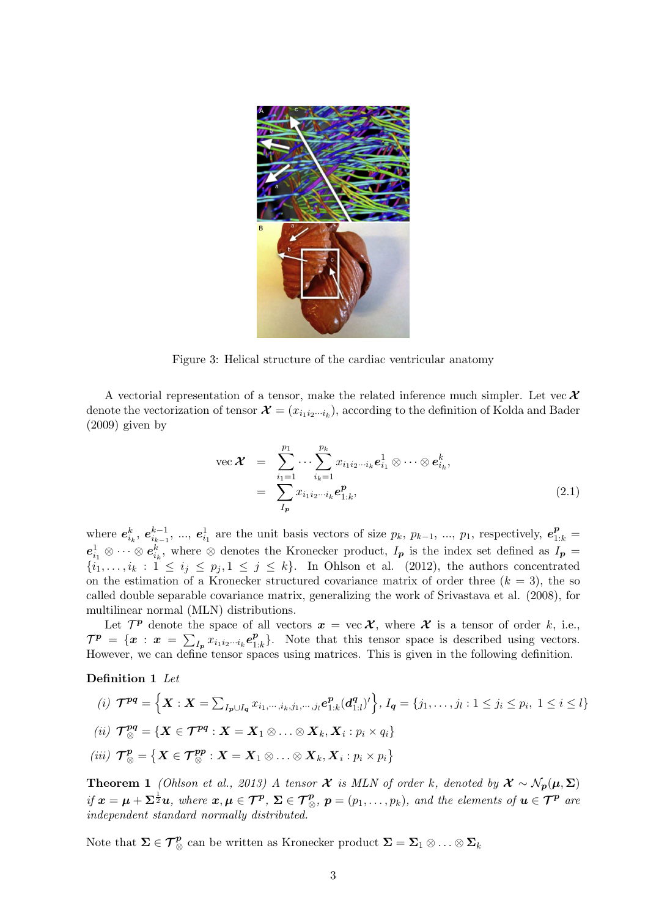

Figure 3: Helical structure of the cardiac ventricular anatomy

A vectorial representation of a tensor, make the related inference much simpler. Let vec  $\mathcal X$ denote the vectorization of tensor  $\mathcal{X} = (x_{i_1 i_2 \cdots i_k})$ , according to the definition of Kolda and Bader (2009) given by

<span id="page-2-0"></span>vec 
$$
\mathcal{X} = \sum_{i_1=1}^{p_1} \cdots \sum_{i_k=1}^{p_k} x_{i_1 i_2 \cdots i_k} e_{i_1}^1 \otimes \cdots \otimes e_{i_k}^k,
$$
  
\n
$$
= \sum_{I_p} x_{i_1 i_2 \cdots i_k} e_{1:k}^p,
$$
\n(2.1)

where  $e_{i_k}^k$ ,  $e_{i_{k-1}}^{k-1}$ , ...,  $e_{i_1}^1$  are the unit basis vectors of size  $p_k$ ,  $p_{k-1}$ , ...,  $p_1$ , respectively,  $e_{1:k}^p$  $e_{i_1}^1 \otimes \cdots \otimes e_{i_k}^k$ , where  $\otimes$  denotes the Kronecker product,  $I_p$  is the index set defined as  $I_p =$  $\{i_1,\ldots,i_k : 1 \leq i_j \leq p_j, 1 \leq j \leq k\}.$  In Ohlson et al. (2012), the authors concentrated on the estimation of a Kronecker structured covariance matrix of order three  $(k = 3)$ , the so called double separable covariance matrix, generalizing the work of Srivastava et al. (2008), for multilinear normal (MLN) distributions.

Let  $\mathcal{T}^{\mathbf{p}}$  denote the space of all vectors  $\mathbf{x} = \text{vec } \mathcal{X}$ , where  $\mathcal{X}$  is a tensor of order k, i.e.,  $\mathcal{T}^{\bm{p}} \ = \ \{\bm{x} \ : \ \bm{x} \ = \ \sum_{I_{\bm{p}}} x_{i_1 i_2 \cdots i_k} \bm{e}_{1}^{\bm{p}}$  $_{1:k}^p$ . Note that this tensor space is described using vectors. However, we can define tensor spaces using matrices. This is given in the following definition.

#### Definition 1 Let

(i) 
$$
\mathcal{T}^{pq} = \left\{ \boldsymbol{X} : \boldsymbol{X} = \sum_{I_p \cup I_q} x_{i_1, \dots, i_k, j_1, \dots, j_l} e_{1:k}^p(\boldsymbol{d}_{1:l}^q)' \right\}, I_q = \{j_1, \dots, j_l : 1 \le j_i \le p_i, 1 \le i \le l\}
$$
  
\n(ii)  $\mathcal{T}^{pq}_{\otimes} = \left\{ \boldsymbol{X} \in \mathcal{T}^{pq} : \boldsymbol{X} = \boldsymbol{X}_1 \otimes \dots \otimes \boldsymbol{X}_k, \boldsymbol{X}_i : p_i \times q_i \right\}$   
\n(iii)  $\mathcal{T}^p_{\otimes} = \left\{ \boldsymbol{X} \in \mathcal{T}^{pp}_{\otimes} : \boldsymbol{X} = \boldsymbol{X}_1 \otimes \dots \otimes \boldsymbol{X}_k, \boldsymbol{X}_i : p_i \times p_i \right\}$ 

<span id="page-2-1"></span>**Theorem 1** (Ohlson et al., 2013) A tensor  $\mathcal{X}$  is MLN of order k, denoted by  $\mathcal{X} \sim \mathcal{N}_p(\mu, \Sigma)$ if  $x = \mu + \Sigma^{\frac{1}{2}}u$ , where  $x, \mu \in \mathcal{T}^p$ ,  $\Sigma \in \mathcal{T}^p_{\otimes}$ ,  $p = (p_1, \ldots, p_k)$ , and the elements of  $u \in \mathcal{T}^p$  are independent standard normally distributed.

Note that  $\Sigma \in \mathcal{T}_{\otimes}^p$  can be written as Kronecker product  $\Sigma = \Sigma_1 \otimes \ldots \otimes \Sigma_k$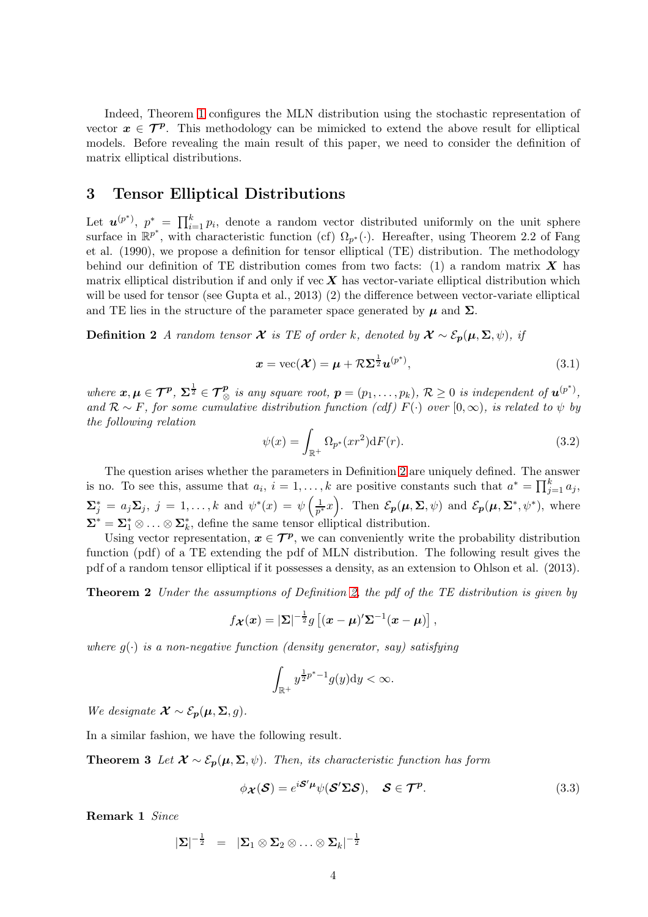Indeed, Theorem [1](#page-2-1) configures the MLN distribution using the stochastic representation of vector  $x \in \mathcal{T}^p$ . This methodology can be mimicked to extend the above result for elliptical models. Before revealing the main result of this paper, we need to consider the definition of matrix elliptical distributions.

#### 3 Tensor Elliptical Distributions

Let  $u^{(p^*)}$ ,  $p^* = \prod_{i=1}^k p_i$ , denote a random vector distributed uniformly on the unit sphere surface in  $\mathbb{R}^{p^*}$ , with characteristic function (cf)  $\Omega_{p^*}(\cdot)$ . Hereafter, using Theorem 2.2 of Fang et al. (1990), we propose a definition for tensor elliptical (TE) distribution. The methodology behind our definition of TE distribution comes from two facts: (1) a random matrix  $X$  has matrix elliptical distribution if and only if vec  $X$  has vector-variate elliptical distribution which will be used for tensor (see Gupta et al., 2013) (2) the difference between vector-variate elliptical and TE lies in the structure of the parameter space generated by  $\mu$  and  $\Sigma$ .

**Definition 2** A random tensor **X** is TE of order k, denoted by  $\mathcal{X} \sim \mathcal{E}_p(\mu, \Sigma, \psi)$ , if

<span id="page-3-0"></span>
$$
\boldsymbol{x} = \text{vec}(\boldsymbol{\mathcal{X}}) = \boldsymbol{\mu} + \mathcal{R}\boldsymbol{\Sigma}^{\frac{1}{2}}\boldsymbol{u}^{(p^*)},
$$
\n(3.1)

where  $\mathbf{x}, \mu \in \mathcal{T}^p$ ,  $\Sigma^{\frac{1}{2}} \in \mathcal{T}^p_{\otimes}$  is any square root,  $p = (p_1, \ldots, p_k)$ ,  $\mathcal{R} \geq 0$  is independent of  $\mathbf{u}^{(p^*)}$ , and  $\mathcal{R} \sim F$ , for some cumulative distribution function (cdf)  $F(\cdot)$  over  $[0, \infty)$ , is related to  $\psi$  by the following relation

$$
\psi(x) = \int_{\mathbb{R}^+} \Omega_{p^*}(xr^2) \mathrm{d}F(r). \tag{3.2}
$$

The question arises whether the parameters in Definition [2](#page-3-0) are uniquely defined. The answer is no. To see this, assume that  $a_i$ ,  $i = 1, ..., k$  are positive constants such that  $a^* = \prod_{j=1}^k a_j$ ,  $\mathbf{\Sigma}_{j}^{*} = a_{j} \mathbf{\Sigma}_{j}, \; j = 1, \ldots, k \text{ and } \psi^{*}(x) = \psi\left(\frac{1}{p^{*}}\right)$  $\frac{1}{p^*}x$ . Then  $\mathcal{E}_{p}(\mu,\Sigma,\psi)$  and  $\mathcal{E}_{p}(\mu,\Sigma^*,\psi^*)$ , where  $\Sigma^* = \Sigma_1^* \otimes \ldots \otimes \Sigma_k^*$ , define the same tensor elliptical distribution.

Using vector representation,  $x \in \mathcal{T}^p$ , we can conveniently write the probability distribution function (pdf) of a TE extending the pdf of MLN distribution. The following result gives the pdf of a random tensor elliptical if it possesses a density, as an extension to Ohlson et al. (2013).

**Theorem 2** Under the assumptions of Definition [2,](#page-3-0) the pdf of the TE distribution is given by

$$
f_{\boldsymbol{\mathcal{X}}}(\boldsymbol{x}) = |\boldsymbol{\Sigma}|^{-\frac{1}{2}} g\left[ (\boldsymbol{x} - \boldsymbol{\mu})' \boldsymbol{\Sigma}^{-1} (\boldsymbol{x} - \boldsymbol{\mu}) \right],
$$

where  $g(\cdot)$  is a non-negative function (density generator, say) satisfying

$$
\int_{\mathbb{R}^+} y^{\frac{1}{2}p^*-1} g(y) \mathrm{d}y < \infty.
$$

We designate  $\mathcal{X} \sim \mathcal{E}_{p}(\mu, \Sigma, q)$ .

In a similar fashion, we have the following result.

**Theorem 3** Let  $\mathcal{X} \sim \mathcal{E}_p(\mu, \Sigma, \psi)$ . Then, its characteristic function has form

$$
\phi_{\mathcal{X}}(\mathcal{S}) = e^{i\mathcal{S}'\mu}\psi(\mathcal{S}'\Sigma\mathcal{S}), \quad \mathcal{S} \in \mathcal{T}^p. \tag{3.3}
$$

Remark 1 Since

$$
|\mathbf{\Sigma}|^{-\frac{1}{2}} \;\; = \;\; |\mathbf{\Sigma}_1 \otimes \mathbf{\Sigma}_2 \otimes \ldots \otimes \mathbf{\Sigma}_k|^{-\frac{1}{2}}
$$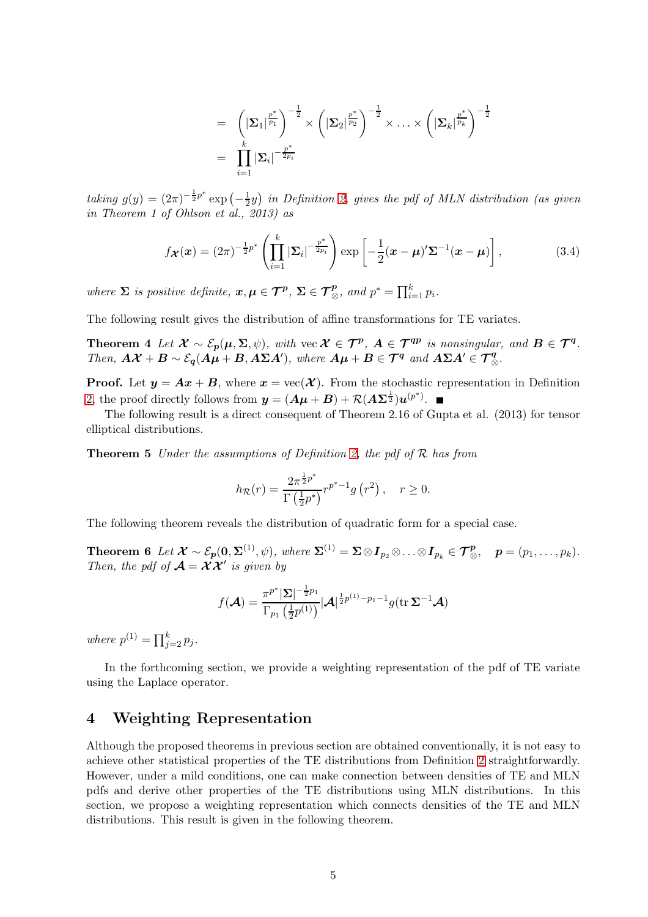$$
= \left( \left| \boldsymbol{\Sigma}_{1} \right|^{\frac{p^*}{p_1}} \right)^{-\frac{1}{2}} \times \left( \left| \boldsymbol{\Sigma}_{2} \right|^{\frac{p^*}{p_2}} \right)^{-\frac{1}{2}} \times \ldots \times \left( \left| \boldsymbol{\Sigma}_{k} \right|^{\frac{p^*}{p_k}} \right)^{-\frac{1}{2}}
$$

$$
= \prod_{i=1}^k \left| \boldsymbol{\Sigma}_{i} \right|^{-\frac{p^*}{2p_i}}
$$

taking  $g(y) = (2\pi)^{-\frac{1}{2}p^*} \exp(-\frac{1}{2})$  $\frac{1}{2}y$ ) in Definition [2,](#page-3-0) gives the pdf of MLN distribution (as given in Theorem 1 of Ohlson et al., 2013) as

$$
f_{\boldsymbol{\mathcal{X}}}(\boldsymbol{x}) = (2\pi)^{-\frac{1}{2}p^*} \left( \prod_{i=1}^k |\boldsymbol{\Sigma}_i|^{-\frac{p^*}{2p_i}} \right) \exp\left[ -\frac{1}{2} (\boldsymbol{x} - \boldsymbol{\mu})^{\prime} \boldsymbol{\Sigma}^{-1} (\boldsymbol{x} - \boldsymbol{\mu}) \right], \tag{3.4}
$$

where  $\Sigma$  is positive definite,  $x, \mu \in \mathcal{T}^p$ ,  $\Sigma \in \mathcal{T}^p_{\otimes}$ , and  $p^* = \prod_{i=1}^k p_i$ .

The following result gives the distribution of affine transformations for TE variates.

Theorem 4 Let  $\mathcal{X} \sim \mathcal{E}_p(\mu, \Sigma, \psi)$ , with vec  $\mathcal{X} \in \mathcal{T}^p$ ,  $A \in \mathcal{T}^{qp}$  is nonsingular, and  $B \in \mathcal{T}^q$ . Then,  $A\mathcal{X} + B \sim \mathcal{E}_q(A\mu + B, A\Sigma A')$ , where  $A\mu + B \in \mathcal{T}^q$  and  $A\Sigma A' \in \mathcal{T}^q_{\otimes}$ .

**Proof.** Let  $y = Ax + B$ , where  $x = \text{vec}(\mathcal{X})$ . From the stochastic representation in Definition [2,](#page-3-0) the proof directly follows from  $y = (A\mu + B) + \mathcal{R}(A\Sigma^{\frac{1}{2}})u^{(p^*)}$ .

The following result is a direct consequent of Theorem 2.16 of Gupta et al. (2013) for tensor elliptical distributions.

**Theorem 5** Under the assumptions of Definition [2,](#page-3-0) the pdf of  $\mathcal{R}$  has from

$$
h_{\mathcal{R}}(r) = \frac{2\pi^{\frac{1}{2}p^*}}{\Gamma\left(\frac{1}{2}p^*\right)} r^{p^*-1} g\left(r^2\right), \quad r \ge 0.
$$

The following theorem reveals the distribution of quadratic form for a special case.

Theorem 6 Let  $\mathcal{X} \sim \mathcal{E}_{p}(0, \Sigma^{(1)}, \psi)$ , where  $\Sigma^{(1)} = \Sigma \otimes I_{p_2} \otimes \ldots \otimes I_{p_k} \in \mathcal{T}_{\otimes}^p$ ,  $p = (p_1, \ldots, p_k)$ . Then, the pdf of  $\mathcal{A} = \mathcal{X} \mathcal{X}'$  is given by

<span id="page-4-0"></span>
$$
f(\boldsymbol{\mathcal{A}}) = \frac{\pi^{p^*} |\boldsymbol{\Sigma}|^{-\frac{1}{2}p_1}}{\Gamma_{p_1}\left(\frac{1}{2}p^{(1)}\right)} |\boldsymbol{\mathcal{A}}|^{\frac{1}{2}p^{(1)} - p_1 - 1} g(\text{tr }\boldsymbol{\Sigma}^{-1}\boldsymbol{\mathcal{A}})
$$

where  $p^{(1)} = \prod_{j=2}^{k} p_j$ .

In the forthcoming section, we provide a weighting representation of the pdf of TE variate using the Laplace operator.

#### 4 Weighting Representation

Although the proposed theorems in previous section are obtained conventionally, it is not easy to achieve other statistical properties of the TE distributions from Definition [2](#page-3-0) straightforwardly. However, under a mild conditions, one can make connection between densities of TE and MLN pdfs and derive other properties of the TE distributions using MLN distributions. In this section, we propose a weighting representation which connects densities of the TE and MLN distributions. This result is given in the following theorem.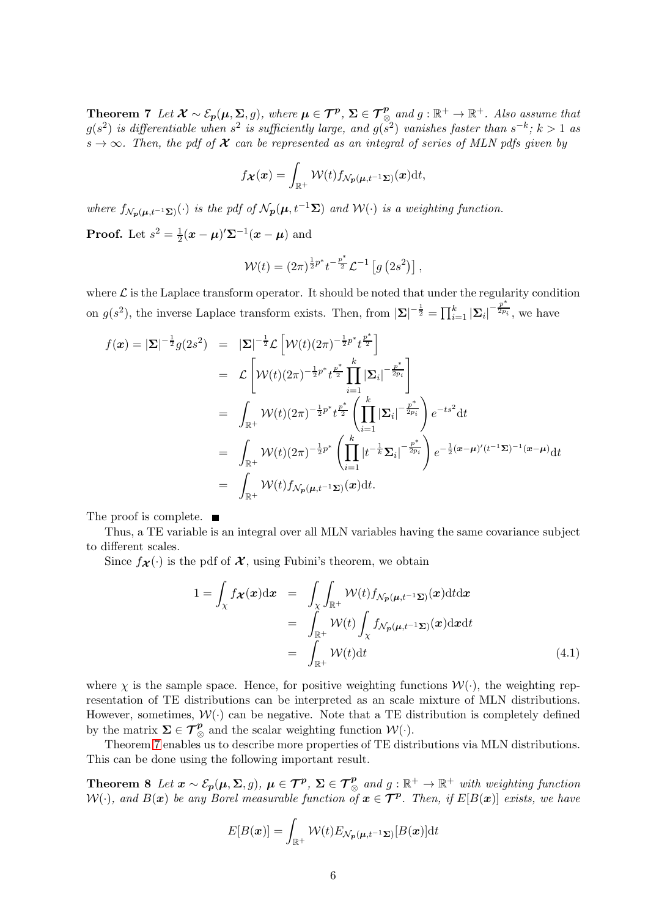**Theorem 7** Let  $\mathcal{X} \sim \mathcal{E}_p(\mu, \Sigma, g)$ , where  $\mu \in \mathcal{T}^p$ ,  $\Sigma \in \mathcal{T}^p$  and  $g : \mathbb{R}^+ \to \mathbb{R}^+$ . Also assume that  $g(s^2)$  is differentiable when  $s^2$  is sufficiently large, and  $g(s^2)$  vanishes faster than  $s^{-k}$ ;  $k > 1$  as  $s \to \infty$ . Then, the pdf of **X** can be represented as an integral of series of MLN pdfs given by

$$
f_{\boldsymbol{\mathcal{X}}}(\boldsymbol{x}) = \int_{\mathbb{R}^+} \mathcal{W}(t) f_{\mathcal{N}_{\boldsymbol{\mathcal{p}}}(\boldsymbol{\mu}, t^{-1} \boldsymbol{\Sigma})}(\boldsymbol{x}) \mathrm{d} t,
$$

where  $f_{\mathcal{N}_{p}(\boldsymbol{\mu},t^{-1}\boldsymbol{\Sigma})}(\cdot)$  is the pdf of  $\mathcal{N}_{p}(\boldsymbol{\mu},t^{-1}\boldsymbol{\Sigma})$  and  $\mathcal{W}(\cdot)$  is a weighting function. **Proof.** Let  $s^2 = \frac{1}{2}$  $\frac{1}{2}(\boldsymbol{x} - \boldsymbol{\mu})' \boldsymbol{\Sigma}^{-1}(\boldsymbol{x} - \boldsymbol{\mu})$  and

$$
W(t) = (2\pi)^{\frac{1}{2}p^*} t^{-\frac{p^*}{2}} \mathcal{L}^{-1} [g (2s^2)],
$$

where  $\mathcal L$  is the Laplace transform operator. It should be noted that under the regularity condition on  $g(s^2)$ , the inverse Laplace transform exists. Then, from  $|\mathbf{\Sigma}|^{-\frac{1}{2}} = \prod_{i=1}^k |\mathbf{\Sigma}_i|^{-\frac{p^*}{2p_i}}$ , we have

$$
f(\mathbf{x}) = |\mathbf{\Sigma}|^{-\frac{1}{2}} g(2s^2) = |\mathbf{\Sigma}|^{-\frac{1}{2}} \mathcal{L} \left[ \mathcal{W}(t) (2\pi)^{-\frac{1}{2} p^*} t^{\frac{p^*}{2}} \right]
$$
  
\n
$$
= \mathcal{L} \left[ \mathcal{W}(t) (2\pi)^{-\frac{1}{2} p^*} t^{\frac{p^*}{2}} \prod_{i=1}^k |\mathbf{\Sigma}_i|^{-\frac{p^*}{2p_i}} \right]
$$
  
\n
$$
= \int_{\mathbb{R}^+} \mathcal{W}(t) (2\pi)^{-\frac{1}{2} p^*} t^{\frac{p^*}{2}} \left( \prod_{i=1}^k |\mathbf{\Sigma}_i|^{-\frac{p^*}{2p_i}} \right) e^{-ts^2} dt
$$
  
\n
$$
= \int_{\mathbb{R}^+} \mathcal{W}(t) (2\pi)^{-\frac{1}{2} p^*} \left( \prod_{i=1}^k |t^{-\frac{1}{k}} \mathbf{\Sigma}_i|^{-\frac{p^*}{2p_i}} \right) e^{-\frac{1}{2} (\mathbf{z} - \mu)' (t^{-1} \mathbf{\Sigma})^{-1} (\mathbf{z} - \mu)} dt
$$
  
\n
$$
= \int_{\mathbb{R}^+} \mathcal{W}(t) f_{\mathcal{N}_p(\mu, t^{-1} \mathbf{\Sigma})}(\mathbf{z}) dt.
$$

The proof is complete.

Thus, a TE variable is an integral over all MLN variables having the same covariance subject to different scales.

Since  $f_{\mathcal{X}}(\cdot)$  is the pdf of  $\mathcal{X}$ , using Fubini's theorem, we obtain

$$
1 = \int_{\chi} f_{\mathcal{X}}(\mathbf{x}) dx = \int_{\chi} \int_{\mathbb{R}^{+}} \mathcal{W}(t) f_{\mathcal{N}_{p}(\mu, t^{-1}\Sigma)}(\mathbf{x}) dt dx
$$
  
\n
$$
= \int_{\mathbb{R}^{+}} \mathcal{W}(t) \int_{\chi} f_{\mathcal{N}_{p}(\mu, t^{-1}\Sigma)}(\mathbf{x}) dx dt
$$
  
\n
$$
= \int_{\mathbb{R}^{+}} \mathcal{W}(t) dt
$$
(4.1)

where  $\chi$  is the sample space. Hence, for positive weighting functions  $\mathcal{W}(\cdot)$ , the weighting representation of TE distributions can be interpreted as an scale mixture of MLN distributions. However, sometimes,  $\mathcal{W}(\cdot)$  can be negative. Note that a TE distribution is completely defined by the matrix  $\Sigma \in \mathcal{T}_{\otimes}^p$  and the scalar weighting function  $\mathcal{W}(\cdot)$ .

Theorem [7](#page-4-0) enables us to describe more properties of TE distributions via MLN distributions. This can be done using the following important result.

Theorem 8 Let  $x \sim \mathcal{E}_p(\mu, \Sigma, g)$ ,  $\mu \in \mathcal{T}^p$ ,  $\Sigma \in \mathcal{T}^p_{\otimes}$  and  $g : \mathbb{R}^+ \to \mathbb{R}^+$  with weighting function  $\mathcal{W}(\cdot)$ , and  $B(\bm{x})$  be any Borel measurable function of  $\bm{x} \in \bm{\mathcal{T}^p}$ . Then, if  $E[B(\bm{x})]$  exists, we have

$$
E[B(\boldsymbol{x})] = \int_{\mathbb{R}^+} \mathcal{W}(t) E_{\mathcal{N}_{\boldsymbol{p}}(\boldsymbol{\mu}, t^{-1} \boldsymbol{\Sigma})}[B(\boldsymbol{x})] dt
$$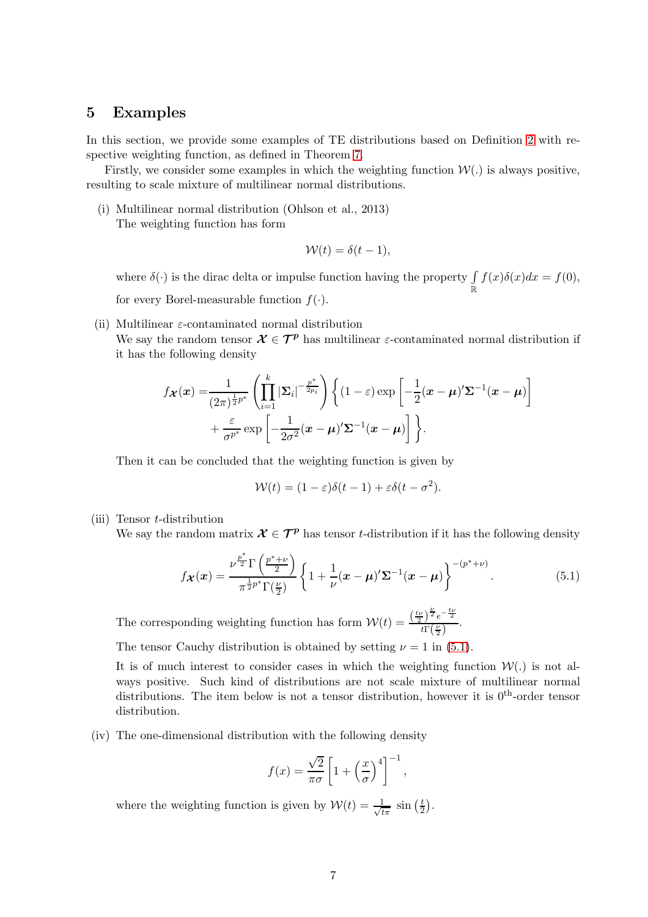#### 5 Examples

In this section, we provide some examples of TE distributions based on Definition [2](#page-3-0) with respective weighting function, as defined in Theorem [7.](#page-4-0)

Firstly, we consider some examples in which the weighting function  $W(.)$  is always positive, resulting to scale mixture of multilinear normal distributions.

(i) Multilinear normal distribution (Ohlson et al., 2013) The weighting function has form

$$
\mathcal{W}(t) = \delta(t-1),
$$

where  $\delta(\cdot)$  is the dirac delta or impulse function having the property  $\int_{\mathbb{R}} f(x)\delta(x)dx = f(0)$ , for every Borel-measurable function  $f(\cdot)$ .

- (ii) Multilinear  $\varepsilon$ -contaminated normal distribution
	- We say the random tensor  $\mathcal{X} \in \mathcal{T}^p$  has multilinear  $\varepsilon$ -contaminated normal distribution if it has the following density

$$
f_{\boldsymbol{\mathcal{X}}}(\boldsymbol{x}) = \frac{1}{(2\pi)^{\frac{1}{2}p^*}} \left( \prod_{i=1}^k |\boldsymbol{\Sigma}_i|^{-\frac{p^*}{2p_i}} \right) \left\{ (1-\varepsilon) \exp \left[ -\frac{1}{2} (\boldsymbol{x} - \boldsymbol{\mu})' \boldsymbol{\Sigma}^{-1} (\boldsymbol{x} - \boldsymbol{\mu}) \right] + \frac{\varepsilon}{\sigma^{p^*}} \exp \left[ -\frac{1}{2\sigma^2} (\boldsymbol{x} - \boldsymbol{\mu})' \boldsymbol{\Sigma}^{-1} (\boldsymbol{x} - \boldsymbol{\mu}) \right] \right\}.
$$

Then it can be concluded that the weighting function is given by

$$
\mathcal{W}(t) = (1 - \varepsilon)\delta(t - 1) + \varepsilon \delta(t - \sigma^2).
$$

- (iii) Tensor t-distribution
	- We say the random matrix  $\mathcal{X} \in \mathcal{T}^p$  has tensor t-distribution if it has the following density

<span id="page-6-0"></span>
$$
f_{\mathcal{X}}(x) = \frac{\nu^{\frac{p^*}{2}} \Gamma\left(\frac{p^* + \nu}{2}\right)}{\pi^{\frac{1}{2}p^*} \Gamma(\frac{\nu}{2})} \left\{ 1 + \frac{1}{\nu} (x - \mu)' \Sigma^{-1} (x - \mu) \right\}^{-(p^* + \nu)}.
$$
 (5.1)

The corresponding weighting function has form  $W(t) = \frac{\left(\frac{tv}{2}\right)^{\frac{\nu}{2}}e^{-\frac{tv}{2}}}{t\Gamma(\frac{\nu}{2})}$  $\frac{1}{t\Gamma(\frac{\nu}{2})}$ .

The tensor Cauchy distribution is obtained by setting  $\nu = 1$  in [\(5.1\)](#page-6-0).

It is of much interest to consider cases in which the weighting function  $W(.)$  is not always positive. Such kind of distributions are not scale mixture of multilinear normal distributions. The item below is not a tensor distribution, however it is  $0^{th}$ -order tensor distribution.

(iv) The one-dimensional distribution with the following density

$$
f(x) = \frac{\sqrt{2}}{\pi \sigma} \left[ 1 + \left(\frac{x}{\sigma}\right)^4 \right]^{-1},
$$

where the weighting function is given by  $\mathcal{W}(t) = \frac{1}{\sqrt{t}}$  $rac{1}{t\pi}$  sin  $\left(\frac{t}{2}\right)$  $\frac{t}{2}$ .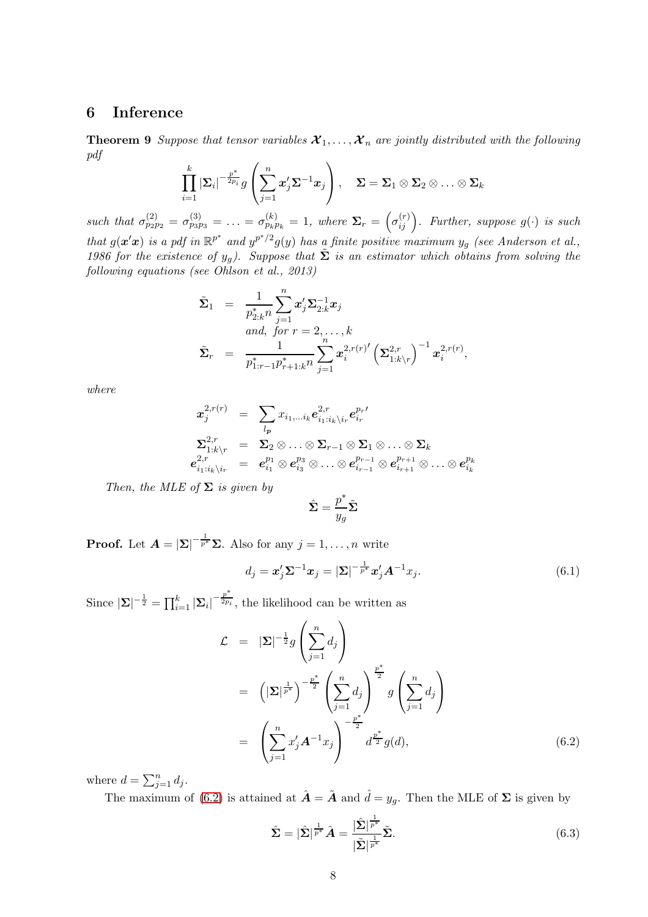# 6 Inference

**Theorem 9** Suppose that tensor variables  $\mathcal{X}_1, \ldots, \mathcal{X}_n$  are jointly distributed with the following pdf

$$
\prod_{i=1}^k \left| \boldsymbol{\Sigma}_i \right|^{-\frac{p^*}{2p_i}} g \left( \sum_{j=1}^n x'_j \boldsymbol{\Sigma}^{-1} \boldsymbol{x}_j \right), \quad \boldsymbol{\Sigma} = \boldsymbol{\Sigma}_1 \otimes \boldsymbol{\Sigma}_2 \otimes \ldots \otimes \boldsymbol{\Sigma}_k
$$

such that  $\sigma_{p_2p_2}^{(2)} = \sigma_{p_3p_3}^{(3)} = \ldots = \sigma_{p_kp_k}^{(k)} = 1$ , where  $\Sigma_r = \left(\sigma_{ij}^{(r)}\right)$ . Further, suppose  $g(\cdot)$  is such that  $g(x'x)$  is a pdf in  $\mathbb{R}^{p^*}$  and  $y^{p^*/2}g(y)$  has a finite positive maximum  $y_g$  (see Anderson et al., 1986 for the existence of  $y_g$ ). Suppose that  $\tilde{\Sigma}$  is an estimator which obtains from solving the following equations (see Ohlson et al., 2013)

$$
\begin{array}{lll} \tilde{\boldsymbol{\Sigma}}_1 &=& \frac{1}{p_{2:k}^* n} \sum_{j=1}^n \pmb{x}_j' \pmb{\Sigma}_{2:k}^{-1} \pmb{x}_j \\ & \qquad \textrm{and, for } r=2,\ldots,k \\ \tilde{\boldsymbol{\Sigma}}_r &=& \frac{1}{p_{1:r-1}^* p_{r+1:k}^* n} \sum_{j=1}^n \pmb{x}_i^{2,r(r)'} \left( \pmb{\Sigma}_{1:k \backslash r}^{2,r} \right)^{-1} \pmb{x}_i^{2,r(r)}, \end{array}
$$

where

$$
\begin{array}{rcl} \boldsymbol{x}^{2,r(r)}_{j} & = & \sum_{l_{\boldsymbol{p}}} x_{i_{1},\ldots i_{k}} e^{2,r}_{i_{1}:i_{k}\backslash i_{r}} e^{p_{r} \prime}_{i_{r}} \\ \boldsymbol{\Sigma}^{2,r}_{1:k \backslash r} & = & \boldsymbol{\Sigma}_{2} \otimes \ldots \otimes \boldsymbol{\Sigma}_{r-1} \otimes \boldsymbol{\Sigma}_{1} \otimes \ldots \otimes \boldsymbol{\Sigma}_{k} \\ e^{2,r}_{i_{1}:i_{k}\backslash i_{r}} & = & e^{p_{1}}_{i_{1}} \otimes e^{p_{3}}_{i_{3}} \otimes \ldots \otimes e^{p_{r-1}}_{i_{r-1}} \otimes e^{p_{r+1}}_{i_{r+1}} \otimes \ldots \otimes e^{p_{k}}_{i_{k}} \end{array}
$$

Then, the MLE of  $\Sigma$  is given by

$$
\hat{\mathbf{\Sigma}} = \frac{p^*}{y_g} \tilde{\mathbf{\Sigma}}
$$

**Proof.** Let  $\mathbf{A} = |\mathbf{\Sigma}|^{-\frac{1}{p^*}} \mathbf{\Sigma}$ . Also for any  $j = 1, ..., n$  write

<span id="page-7-1"></span>
$$
d_j = \boldsymbol{x}_j' \boldsymbol{\Sigma}^{-1} \boldsymbol{x}_j = |\boldsymbol{\Sigma}|^{-\frac{1}{p^*}} \boldsymbol{x}_j' \boldsymbol{A}^{-1} x_j.
$$
\n(6.1)

Since  $|\mathbf{\Sigma}|^{-\frac{1}{2}} = \prod_{i=1}^{k} |\mathbf{\Sigma}_i|^{-\frac{p^*}{2p_i}}$  $\overline{2p_i}$ , the likelihood can be written as

<span id="page-7-0"></span>
$$
\mathcal{L} = |\mathbf{\Sigma}|^{-\frac{1}{2}} g\left(\sum_{j=1}^n d_j\right)
$$
  
\n
$$
= \left(|\mathbf{\Sigma}|^{\frac{1}{p^*}}\right)^{-\frac{p^*}{2}} \left(\sum_{j=1}^n d_j\right)^{\frac{p^*}{2}} g\left(\sum_{j=1}^n d_j\right)
$$
  
\n
$$
= \left(\sum_{j=1}^n x'_j \mathbf{A}^{-1} x_j\right)^{-\frac{p^*}{2}} d^{\frac{p^*}{2}} g(d), \qquad (6.2)
$$

where  $d = \sum_{j=1}^{n} d_j$ .

The maximum of [\(6.2\)](#page-7-0) is attained at  $\hat{\mathbf{A}} = \tilde{\mathbf{A}}$  and  $\hat{d} = y_g$ . Then the MLE of  $\Sigma$  is given by

<span id="page-7-2"></span>
$$
\hat{\Sigma} = |\hat{\Sigma}|^{\frac{1}{p^*}} \hat{A} = \frac{|\hat{\Sigma}|^{\frac{1}{p^*}}}{|\tilde{\Sigma}|^{\frac{1}{p^*}}} \tilde{\Sigma}.
$$
\n(6.3)